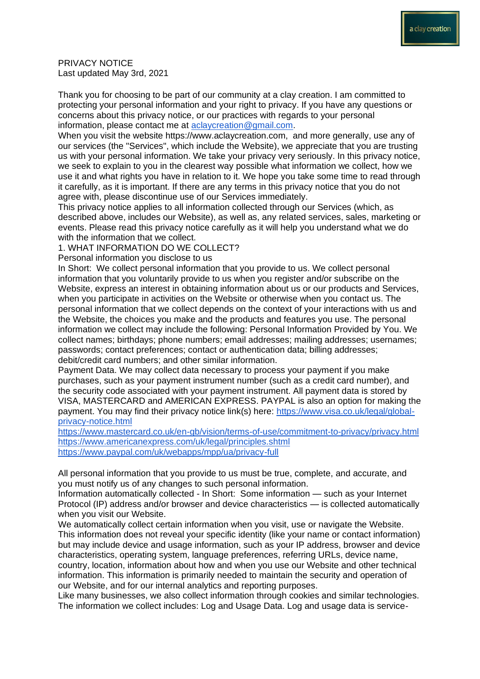PRIVACY NOTICE Last updated May 3rd, 2021

Thank you for choosing to be part of our community at a clay creation. I am committed to protecting your personal information and your right to privacy. If you have any questions or concerns about this privacy notice, or our practices with regards to your personal information, please contact me at [aclaycreation@gmail.com.](mailto:aclaycreation@gmail.com)

When you visit the website https://www.aclaycreation.com, and more generally, use any of our services (the "Services", which include the Website), we appreciate that you are trusting us with your personal information. We take your privacy very seriously. In this privacy notice, we seek to explain to you in the clearest way possible what information we collect, how we use it and what rights you have in relation to it. We hope you take some time to read through it carefully, as it is important. If there are any terms in this privacy notice that you do not agree with, please discontinue use of our Services immediately.

This privacy notice applies to all information collected through our Services (which, as described above, includes our Website), as well as, any related services, sales, marketing or events. Please read this privacy notice carefully as it will help you understand what we do with the information that we collect.

1. WHAT INFORMATION DO WE COLLECT?

Personal information you disclose to us

In Short: We collect personal information that you provide to us. We collect personal information that you voluntarily provide to us when you register and/or subscribe on the Website, express an interest in obtaining information about us or our products and Services, when you participate in activities on the Website or otherwise when you contact us. The personal information that we collect depends on the context of your interactions with us and the Website, the choices you make and the products and features you use. The personal information we collect may include the following: Personal Information Provided by You. We collect names; birthdays; phone numbers; email addresses; mailing addresses; usernames; passwords; contact preferences; contact or authentication data; billing addresses; debit/credit card numbers; and other similar information.

Payment Data. We may collect data necessary to process your payment if you make purchases, such as your payment instrument number (such as a credit card number), and the security code associated with your payment instrument. All payment data is stored by VISA, MASTERCARD and AMERICAN EXPRESS. PAYPAL is also an option for making the payment. You may find their privacy notice link(s) here: [https://www.visa.co.uk/legal/global](https://www.visa.co.uk/legal/global-privacy-notice.html)[privacy-notice.html](https://www.visa.co.uk/legal/global-privacy-notice.html)

<https://www.mastercard.co.uk/en-gb/vision/terms-of-use/commitment-to-privacy/privacy.html> <https://www.americanexpress.com/uk/legal/principles.shtml> <https://www.paypal.com/uk/webapps/mpp/ua/privacy-full>

All personal information that you provide to us must be true, complete, and accurate, and you must notify us of any changes to such personal information.

Information automatically collected - In Short: Some information — such as your Internet Protocol (IP) address and/or browser and device characteristics — is collected automatically when you visit our Website.

We automatically collect certain information when you visit, use or navigate the Website. This information does not reveal your specific identity (like your name or contact information) but may include device and usage information, such as your IP address, browser and device characteristics, operating system, language preferences, referring URLs, device name, country, location, information about how and when you use our Website and other technical information. This information is primarily needed to maintain the security and operation of our Website, and for our internal analytics and reporting purposes.

Like many businesses, we also collect information through cookies and similar technologies. The information we collect includes: Log and Usage Data. Log and usage data is service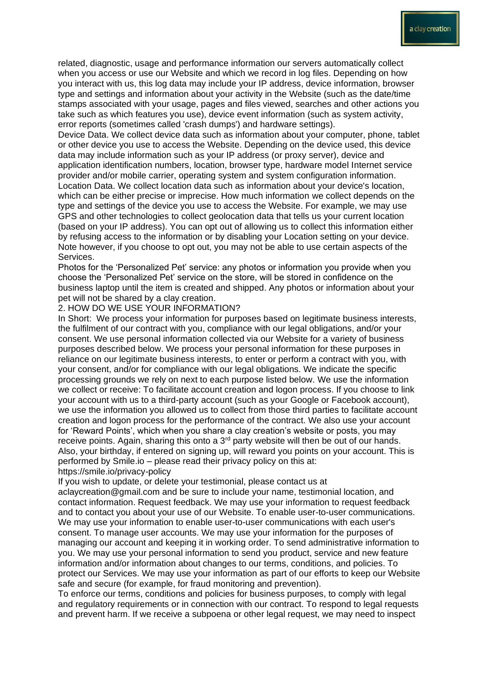related, diagnostic, usage and performance information our servers automatically collect when you access or use our Website and which we record in log files. Depending on how you interact with us, this log data may include your IP address, device information, browser type and settings and information about your activity in the Website (such as the date/time stamps associated with your usage, pages and files viewed, searches and other actions you take such as which features you use), device event information (such as system activity, error reports (sometimes called 'crash dumps') and hardware settings).

Device Data. We collect device data such as information about your computer, phone, tablet or other device you use to access the Website. Depending on the device used, this device data may include information such as your IP address (or proxy server), device and application identification numbers, location, browser type, hardware model Internet service provider and/or mobile carrier, operating system and system configuration information. Location Data. We collect location data such as information about your device's location, which can be either precise or imprecise. How much information we collect depends on the type and settings of the device you use to access the Website. For example, we may use GPS and other technologies to collect geolocation data that tells us your current location (based on your IP address). You can opt out of allowing us to collect this information either by refusing access to the information or by disabling your Location setting on your device. Note however, if you choose to opt out, you may not be able to use certain aspects of the Services.

Photos for the 'Personalized Pet' service: any photos or information you provide when you choose the 'Personalized Pet' service on the store, will be stored in confidence on the business laptop until the item is created and shipped. Any photos or information about your pet will not be shared by a clay creation.

2. HOW DO WE USE YOUR INFORMATION?

In Short: We process your information for purposes based on legitimate business interests, the fulfilment of our contract with you, compliance with our legal obligations, and/or your consent. We use personal information collected via our Website for a variety of business purposes described below. We process your personal information for these purposes in reliance on our legitimate business interests, to enter or perform a contract with you, with your consent, and/or for compliance with our legal obligations. We indicate the specific processing grounds we rely on next to each purpose listed below. We use the information we collect or receive: To facilitate account creation and logon process. If you choose to link your account with us to a third-party account (such as your Google or Facebook account), we use the information you allowed us to collect from those third parties to facilitate account creation and logon process for the performance of the contract. We also use your account for 'Reward Points', which when you share a clay creation's website or posts, you may receive points. Again, sharing this onto a 3<sup>rd</sup> party website will then be out of our hands. Also, your birthday, if entered on signing up, will reward you points on your account. This is performed by Smile.io – please read their privacy policy on this at: https://smile.io/privacy-policy

If you wish to update, or delete your testimonial, please contact us at aclaycreation@gmail.com and be sure to include your name, testimonial location, and contact information. Request feedback. We may use your information to request feedback and to contact you about your use of our Website. To enable user-to-user communications. We may use your information to enable user-to-user communications with each user's consent. To manage user accounts. We may use your information for the purposes of managing our account and keeping it in working order. To send administrative information to you. We may use your personal information to send you product, service and new feature information and/or information about changes to our terms, conditions, and policies. To protect our Services. We may use your information as part of our efforts to keep our Website safe and secure (for example, for fraud monitoring and prevention).

To enforce our terms, conditions and policies for business purposes, to comply with legal and regulatory requirements or in connection with our contract. To respond to legal requests and prevent harm. If we receive a subpoena or other legal request, we may need to inspect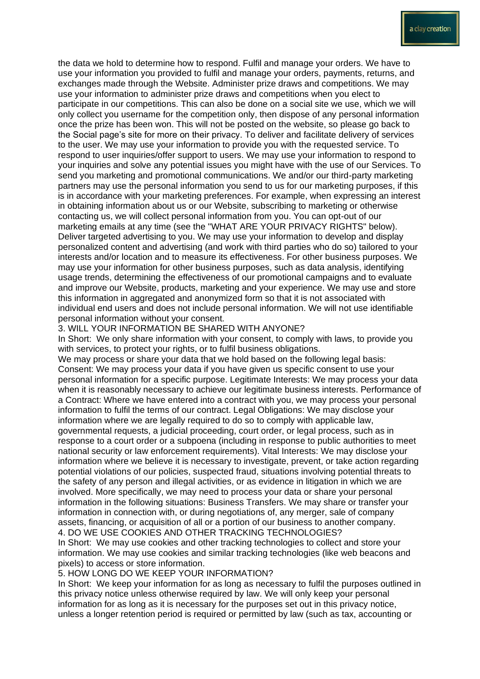the data we hold to determine how to respond. Fulfil and manage your orders. We have to use your information you provided to fulfil and manage your orders, payments, returns, and exchanges made through the Website. Administer prize draws and competitions. We may use your information to administer prize draws and competitions when you elect to participate in our competitions. This can also be done on a social site we use, which we will only collect you username for the competition only, then dispose of any personal information once the prize has been won. This will not be posted on the website, so please go back to the Social page's site for more on their privacy. To deliver and facilitate delivery of services to the user. We may use your information to provide you with the requested service. To respond to user inquiries/offer support to users. We may use your information to respond to your inquiries and solve any potential issues you might have with the use of our Services. To send you marketing and promotional communications. We and/or our third-party marketing partners may use the personal information you send to us for our marketing purposes, if this is in accordance with your marketing preferences. For example, when expressing an interest in obtaining information about us or our Website, subscribing to marketing or otherwise contacting us, we will collect personal information from you. You can opt-out of our marketing emails at any time (see the "WHAT ARE YOUR PRIVACY RIGHTS" below). Deliver targeted advertising to you. We may use your information to develop and display personalized content and advertising (and work with third parties who do so) tailored to your interests and/or location and to measure its effectiveness. For other business purposes. We may use your information for other business purposes, such as data analysis, identifying usage trends, determining the effectiveness of our promotional campaigns and to evaluate and improve our Website, products, marketing and your experience. We may use and store this information in aggregated and anonymized form so that it is not associated with individual end users and does not include personal information. We will not use identifiable personal information without your consent.

## 3. WILL YOUR INFORMATION BE SHARED WITH ANYONE?

In Short: We only share information with your consent, to comply with laws, to provide you with services, to protect your rights, or to fulfil business obligations.

We may process or share your data that we hold based on the following legal basis: Consent: We may process your data if you have given us specific consent to use your personal information for a specific purpose. Legitimate Interests: We may process your data when it is reasonably necessary to achieve our legitimate business interests. Performance of a Contract: Where we have entered into a contract with you, we may process your personal information to fulfil the terms of our contract. Legal Obligations: We may disclose your information where we are legally required to do so to comply with applicable law, governmental requests, a judicial proceeding, court order, or legal process, such as in response to a court order or a subpoena (including in response to public authorities to meet national security or law enforcement requirements). Vital Interests: We may disclose your information where we believe it is necessary to investigate, prevent, or take action regarding potential violations of our policies, suspected fraud, situations involving potential threats to the safety of any person and illegal activities, or as evidence in litigation in which we are involved. More specifically, we may need to process your data or share your personal information in the following situations: Business Transfers. We may share or transfer your information in connection with, or during negotiations of, any merger, sale of company assets, financing, or acquisition of all or a portion of our business to another company. 4. DO WE USE COOKIES AND OTHER TRACKING TECHNOLOGIES?

In Short: We may use cookies and other tracking technologies to collect and store your information. We may use cookies and similar tracking technologies (like web beacons and pixels) to access or store information.

## 5. HOW LONG DO WE KEEP YOUR INFORMATION?

In Short: We keep your information for as long as necessary to fulfil the purposes outlined in this privacy notice unless otherwise required by law. We will only keep your personal information for as long as it is necessary for the purposes set out in this privacy notice, unless a longer retention period is required or permitted by law (such as tax, accounting or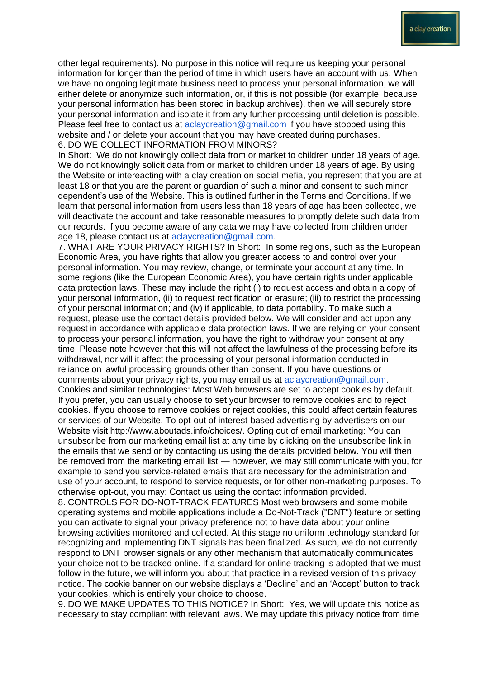other legal requirements). No purpose in this notice will require us keeping your personal information for longer than the period of time in which users have an account with us. When we have no ongoing legitimate business need to process your personal information, we will either delete or anonymize such information, or, if this is not possible (for example, because your personal information has been stored in backup archives), then we will securely store your personal information and isolate it from any further processing until deletion is possible. Please feel free to contact us at [aclaycreation@gmail.com](mailto:aclaycreation@gmail.com) if you have stopped using this website and / or delete your account that you may have created during purchases. 6. DO WE COLLECT INFORMATION FROM MINORS?

In Short: We do not knowingly collect data from or market to children under 18 years of age. We do not knowingly solicit data from or market to children under 18 years of age. By using the Website or intereacting with a clay creation on social mefia, you represent that you are at least 18 or that you are the parent or guardian of such a minor and consent to such minor dependent's use of the Website. This is outlined further in the Terms and Conditions. If we learn that personal information from users less than 18 years of age has been collected, we will deactivate the account and take reasonable measures to promptly delete such data from our records. If you become aware of any data we may have collected from children under age 18, please contact us at [aclaycreation@gmail.com.](mailto:aclaycreation@gmail.com)

7. WHAT ARE YOUR PRIVACY RIGHTS? In Short: In some regions, such as the European Economic Area, you have rights that allow you greater access to and control over your personal information. You may review, change, or terminate your account at any time. In some regions (like the European Economic Area), you have certain rights under applicable data protection laws. These may include the right (i) to request access and obtain a copy of your personal information, (ii) to request rectification or erasure; (iii) to restrict the processing of your personal information; and (iv) if applicable, to data portability. To make such a request, please use the contact details provided below. We will consider and act upon any request in accordance with applicable data protection laws. If we are relying on your consent to process your personal information, you have the right to withdraw your consent at any time. Please note however that this will not affect the lawfulness of the processing before its withdrawal, nor will it affect the processing of your personal information conducted in reliance on lawful processing grounds other than consent. If you have questions or comments about your privacy rights, you may email us at [aclaycreation@gmail.com.](mailto:aclaycreation@gmail.com) Cookies and similar technologies: Most Web browsers are set to accept cookies by default. If you prefer, you can usually choose to set your browser to remove cookies and to reject cookies. If you choose to remove cookies or reject cookies, this could affect certain features or services of our Website. To opt-out of interest-based advertising by advertisers on our Website visit http://www.aboutads.info/choices/. Opting out of email marketing: You can unsubscribe from our marketing email list at any time by clicking on the unsubscribe link in the emails that we send or by contacting us using the details provided below. You will then be removed from the marketing email list — however, we may still communicate with you, for example to send you service-related emails that are necessary for the administration and use of your account, to respond to service requests, or for other non-marketing purposes. To otherwise opt-out, you may: Contact us using the contact information provided.

8. CONTROLS FOR DO-NOT-TRACK FEATURES Most web browsers and some mobile operating systems and mobile applications include a Do-Not-Track ("DNT") feature or setting you can activate to signal your privacy preference not to have data about your online browsing activities monitored and collected. At this stage no uniform technology standard for recognizing and implementing DNT signals has been finalized. As such, we do not currently respond to DNT browser signals or any other mechanism that automatically communicates your choice not to be tracked online. If a standard for online tracking is adopted that we must follow in the future, we will inform you about that practice in a revised version of this privacy notice. The cookie banner on our website displays a 'Decline' and an 'Accept' button to track your cookies, which is entirely your choice to choose.

9. DO WE MAKE UPDATES TO THIS NOTICE? In Short: Yes, we will update this notice as necessary to stay compliant with relevant laws. We may update this privacy notice from time